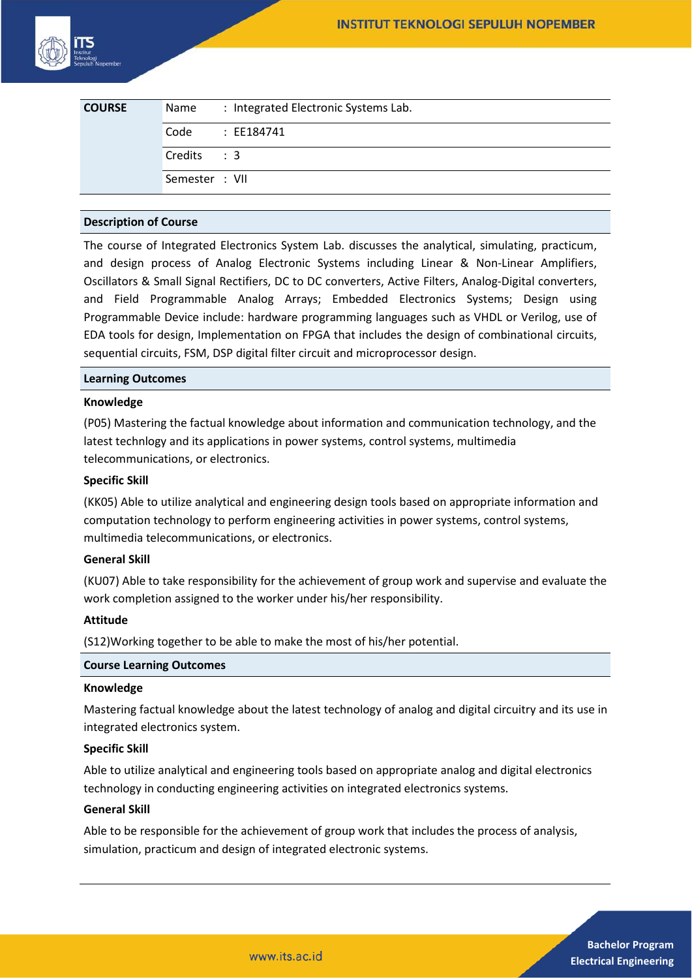| <b>COURSE</b> | Name           | : Integrated Electronic Systems Lab. |
|---------------|----------------|--------------------------------------|
|               | Code           | : EE184741                           |
|               | Credits : 3    |                                      |
|               | Semester : VII |                                      |

## **Description of Course**

The course of Integrated Electronics System Lab. discusses the analytical, simulating, practicum, and design process of Analog Electronic Systems including Linear & Non-Linear Amplifiers, Oscillators & Small Signal Rectifiers, DC to DC converters, Active Filters, Analog-Digital converters, and Field Programmable Analog Arrays; Embedded Electronics Systems; Design using Programmable Device include: hardware programming languages such as VHDL or Verilog, use of EDA tools for design, Implementation on FPGA that includes the design of combinational circuits, sequential circuits, FSM, DSP digital filter circuit and microprocessor design.

### **Learning Outcomes**

### **Knowledge**

(P05) Mastering the factual knowledge about information and communication technology, and the latest technlogy and its applications in power systems, control systems, multimedia telecommunications, or electronics.

# **Specific Skill**

(KK05) Able to utilize analytical and engineering design tools based on appropriate information and computation technology to perform engineering activities in power systems, control systems, multimedia telecommunications, or electronics.

# **General Skill**

(KU07) Able to take responsibility for the achievement of group work and supervise and evaluate the work completion assigned to the worker under his/her responsibility.

### **Attitude**

(S12)Working together to be able to make the most of his/her potential.

### **Course Learning Outcomes**

### **Knowledge**

Mastering factual knowledge about the latest technology of analog and digital circuitry and its use in integrated electronics system.

### **Specific Skill**

Able to utilize analytical and engineering tools based on appropriate analog and digital electronics technology in conducting engineering activities on integrated electronics systems.

## **General Skill**

Able to be responsible for the achievement of group work that includes the process of analysis, simulation, practicum and design of integrated electronic systems.